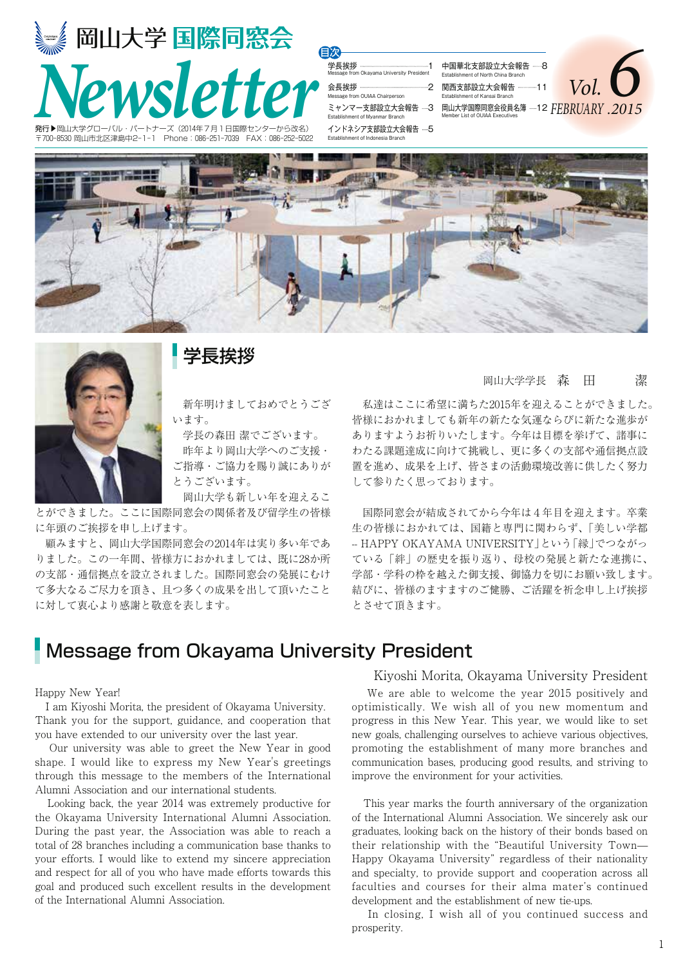



### 学長挨拶

 新年明けましておめでとうござ います。

 学長の森田 潔でございます。 昨年より岡山大学へのご支援・ ご指導・ご協力を賜り誠にありが とうございます。

 岡山大学も新しい年を迎えるこ とができました。ここに国際同窓会の関係者及び留学生の皆様 に年頭のご挨拶を申し上げます。

 顧みますと、岡山大学国際同窓会の2014年は実り多い年であ りました。この一年間、皆様方におかれましては、既に28か所 の支部・通信拠点を設立されました。国際同窓会の発展にむけ て多大なるご尽力を頂き、且つ多くの成果を出して頂いたこと に対して衷心より感謝と敬意を表します。

### 岡山大学学長 森 田 潔

 私達はここに希望に満ちた2015年を迎えることができました。 皆様におかれましても新年の新たな気運ならびに新たな進歩が ありますようお祈りいたします。今年は目標を挙げて、諸事に わたる課題達成に向けて挑戦し、更に多くの支部や通信拠点設 置を進め、成果を上げ、皆さまの活動環境改善に供したく努力 して参りたく思っております。

 国際同窓会が結成されてから今年は4年目を迎えます。卒業 生の皆様におかれては、国籍と専門に関わらず、「美しい学都 -- HAPPY OKAYAMA UNIVERSITY」という「縁」でつながっ ている「絆」の歴史を振り返り、母校の発展と新たな連携に、 学部・学科の枠を越えた御支援、御協力を切にお願い致します。 結びに、皆様のますますのご健勝、ご活躍を祈念申し上げ挨拶 とさせて頂きます。

### Message from Okayama University President

#### Happy New Year!

 I am Kiyoshi Morita, the president of Okayama University. Thank you for the support, guidance, and cooperation that you have extended to our university over the last year.

 Our university was able to greet the New Year in good shape. I would like to express my New Year's greetings through this message to the members of the International Alumni Association and our international students.

 Looking back, the year 2014 was extremely productive for the Okayama University International Alumni Association. During the past year, the Association was able to reach a total of 28 branches including a communication base thanks to your efforts. I would like to extend my sincere appreciation and respect for all of you who have made efforts towards this goal and produced such excellent results in the development of the International Alumni Association.

#### Kiyoshi Morita, Okayama University President

 We are able to welcome the year 2015 positively and optimistically. We wish all of you new momentum and progress in this New Year. This year, we would like to set new goals, challenging ourselves to achieve various objectives, promoting the establishment of many more branches and communication bases, producing good results, and striving to improve the environment for your activities.

 This year marks the fourth anniversary of the organization of the International Alumni Association. We sincerely ask our graduates, looking back on the history of their bonds based on their relationship with the "Beautiful University Town— Happy Okayama University" regardless of their nationality and specialty, to provide support and cooperation across all faculties and courses for their alma mater's continued development and the establishment of new tie-ups.

 In closing, I wish all of you continued success and prosperity.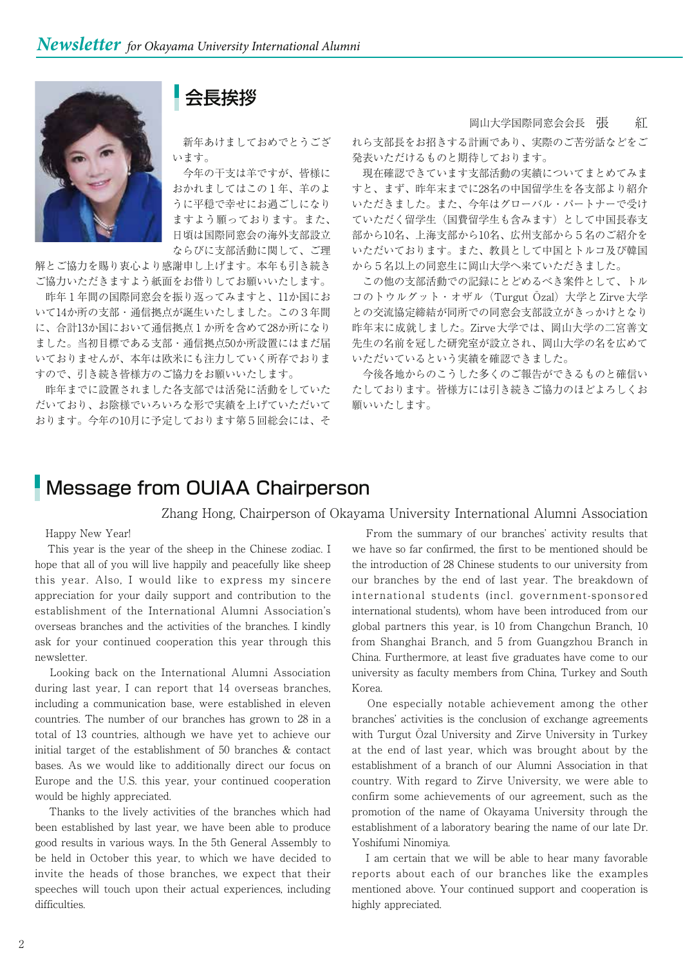### 会長挨拶

 新年あけましておめでとうござ います。

 今年の干支は羊ですが、皆様に おかれましてはこの1年、羊のよ うに平穏で幸せにお過ごしになり ますよう願っております。また、 日頃は国際同窓会の海外支部設立 ならびに支部活動に関して、ご理

解とご協力を賜り衷心より感謝申し上げます。本年も引き続き ご協力いただきますよう紙面をお借りしてお願いいたします。

 昨年1年間の国際同窓会を振り返ってみますと、11か国にお いて14か所の支部・通信拠点が誕生いたしました。この3年間 に、合計13か国において通信拠点1か所を含めて28か所になり ました。当初目標である支部・通信拠点50か所設置にはまだ届 いておりませんが、本年は欧米にも注力していく所存でおりま すので、引き続き皆様方のご協力をお願いいたします。

 昨年までに設置されました各支部では活発に活動をしていた だいており、お陰様でいろいろな形で実績を上げていただいて おります。今年の10月に予定しております第5回総会には、そ 岡山大学国際同窓会会長 張 紅

れら支部長をお招きする計画であり、実際のご苦労話などをご 発表いただけるものと期待しております。

現在確認できています支部活動の実績についてまとめてみま すと、まず、昨年末までに28名の中国留学生を各支部より紹介 いただきました。また、今年はグローバル・パートナーで受け ていただく留学生(国費留学生も含みます)として中国長春支 部から10名、上海支部から10名、広州支部から5名のご紹介を いただいております。また、教員として中国とトルコ及び韓国 から5名以上の同窓生に岡山大学へ来ていただきました。

 この他の支部活動での記録にとどめるべき案件として、トル コのトウルグット・オザル(Turgut Özal)大学とZirve大学 との交流協定締結が同所での同窓会支部設立がきっかけとなり 昨年末に成就しました。Zirve大学では、岡山大学の二宮善文 先生の名前を冠した研究室が設立され、岡山大学の名を広めて いただいているという実績を確認できました。

 今後各地からのこうした多くのご報告ができるものと確信い たしております。皆様方には引き続きご協力のほどよろしくお 願いいたします。

### Message from OUIAA Chairperson

### Zhang Hong, Chairperson of Okayama University International Alumni Association

#### Happy New Year!

 This year is the year of the sheep in the Chinese zodiac. I hope that all of you will live happily and peacefully like sheep this year. Also, I would like to express my sincere appreciation for your daily support and contribution to the establishment of the International Alumni Association's overseas branches and the activities of the branches. I kindly ask for your continued cooperation this year through this newsletter.

 Looking back on the International Alumni Association during last year, I can report that 14 overseas branches, including a communication base, were established in eleven countries. The number of our branches has grown to 28 in a total of 13 countries, although we have yet to achieve our initial target of the establishment of 50 branches & contact bases. As we would like to additionally direct our focus on Europe and the U.S. this year, your continued cooperation would be highly appreciated.

 Thanks to the lively activities of the branches which had been established by last year, we have been able to produce good results in various ways. In the 5th General Assembly to be held in October this year, to which we have decided to invite the heads of those branches, we expect that their speeches will touch upon their actual experiences, including difficulties.

 From the summary of our branches' activity results that we have so far confirmed, the first to be mentioned should be the introduction of 28 Chinese students to our university from our branches by the end of last year. The breakdown of international students (incl. government-sponsored international students), whom have been introduced from our global partners this year, is 10 from Changchun Branch, 10 from Shanghai Branch, and 5 from Guangzhou Branch in China. Furthermore, at least five graduates have come to our university as faculty members from China, Turkey and South Korea.

 One especially notable achievement among the other branches' activities is the conclusion of exchange agreements with Turgut Özal University and Zirve University in Turkey at the end of last year, which was brought about by the establishment of a branch of our Alumni Association in that country. With regard to Zirve University, we were able to confirm some achievements of our agreement, such as the promotion of the name of Okayama University through the establishment of a laboratory bearing the name of our late Dr. Yoshifumi Ninomiya.

 I am certain that we will be able to hear many favorable reports about each of our branches like the examples mentioned above. Your continued support and cooperation is highly appreciated.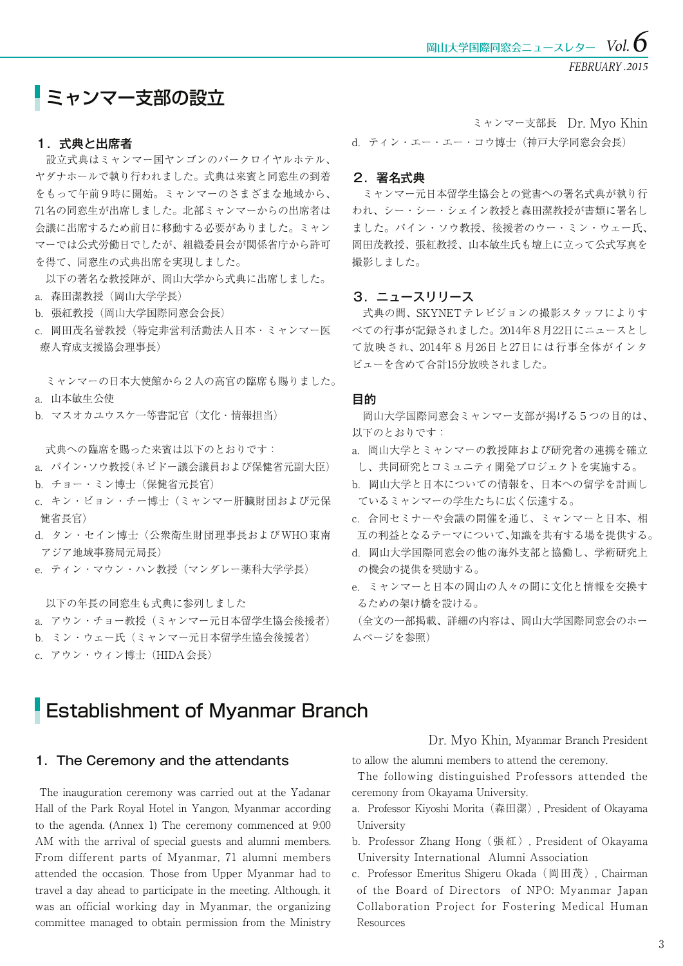## ミャンマー支部の設立

### 1.式典と出席者

 設立式典はミャンマー国ヤンゴンのパークロイヤルホテル、 ヤダナホールで執り行われました。式典は来賓と同窓生の到着 をもって午前9時に開始。ミャンマーのさまざまな地域から、 71名の同窓生が出席しました。北部ミャンマーからの出席者は 会議に出席するため前日に移動する必要がありました。ミャン マーでは公式労働日でしたが、組織委員会が関係省庁から許可 を得て、同窓生の式典出席を実現しました。

 以下の著名な教授陣が、岡山大学から式典に出席しました。 a.森田潔教授(岡山大学学長)

b. 張紅教授(岡山大学国際同窓会会長)

c.岡田茂名誉教授(特定非営利活動法人日本・ミャンマー医 療人育成支援協会理事長)

 ミャンマーの日本大使館から2人の高官の臨席も賜りました。 a.山本敏生公使

b.マスオカユウスケ一等書記官(文化・情報担当)

式典への臨席を賜った来賓は以下のとおりです:

- a.パイン・ソウ教授(ネピドー議会議員および保健省元副大臣)
- b.チョー・ミン博士(保健省元長官)
- c.キン・ピョン・チー博士(ミャンマー肝臓財団および元保 健省長官)
- d.タン・セイン博士(公衆衛生財団理事長およびWHO東南 アジア地域事務局元局長)
- e. ティン・マウン・ハン教授 (マンダレー薬科大学学長)

以下の年長の同窓生も式典に参列しました

- a. アウン・チョー教授(ミャンマー元日本留学生協会後援者)
- b. ミン・ウェー氏(ミャンマー元日本留学生協会後援者)
- c.アウン・ウィン博士(HIDA会長)

### d.ティン・エー・エー・コウ博士(神戸大学同窓会会長) ミャンマー支部長 Dr. Myo Khin

#### 2.署名式典

 ミャンマー元日本留学生協会との覚書への署名式典が執り行 われ、シー・シー・シェイン教授と森田潔教授が書類に署名し ました。パイン・ソウ教授、後援者のウー・ミン・ウェー氏、 岡田茂教授、張紅教授、山本敏生氏も壇上に立って公式写真を 撮影しました。

### 3.ニュースリリース

 式典の間、SKYNETテレビジョンの撮影スタッフによりす べての行事が記録されました。2014年8月22日にニュースとし て放映され、2014年8月26日と27日には行事全体がインタ ビューを含めて合計15分放映されました。

#### 目的

 岡山大学国際同窓会ミャンマー支部が掲げる5つの目的は、 以下のとおりです:

- a.岡山大学とミャンマーの教授陣および研究者の連携を確立 し、共同研究とコミュニティ開発プロジェクトを実施する。
- b.岡山大学と日本についての情報を、日本への留学を計画し ているミャンマーの学生たちに広く伝達する。
- c.合同セミナーや会議の開催を通じ、ミャンマーと日本、相 互の利益となるテーマについて、知識を共有する場を提供する。
- d.岡山大学国際同窓会の他の海外支部と協働し、学術研究上 の機会の提供を奨励する。
- e.ミャンマーと日本の岡山の人々の間に文化と情報を交換す るための架け橋を設ける。

(全文の一部掲載、詳細の内容は、岡山大学国際同窓会のホー ムページを参照)

### Establishment of Myanmar Branch

### 1.The Ceremony and the attendants

 The inauguration ceremony was carried out at the Yadanar Hall of the Park Royal Hotel in Yangon, Myanmar according to the agenda. (Annex 1) The ceremony commenced at 9:00 AM with the arrival of special guests and alumni members. From different parts of Myanmar, 71 alumni members attended the occasion. Those from Upper Myanmar had to travel a day ahead to participate in the meeting. Although, it was an official working day in Myanmar, the organizing committee managed to obtain permission from the Ministry

Dr. Myo Khin, Myanmar Branch President

to allow the alumni members to attend the ceremony.

 The following distinguished Professors attended the ceremony from Okayama University.

a.Professor Kiyoshi Morita(森田潔), President of Okayama University

- b. Professor Zhang Hong (張紅), President of Okayama University International Alumni Association
- c.Professor Emeritus Shigeru Okada(岡田茂), Chairman of the Board of Directors of NPO: Myanmar Japan Collaboration Project for Fostering Medical Human Resources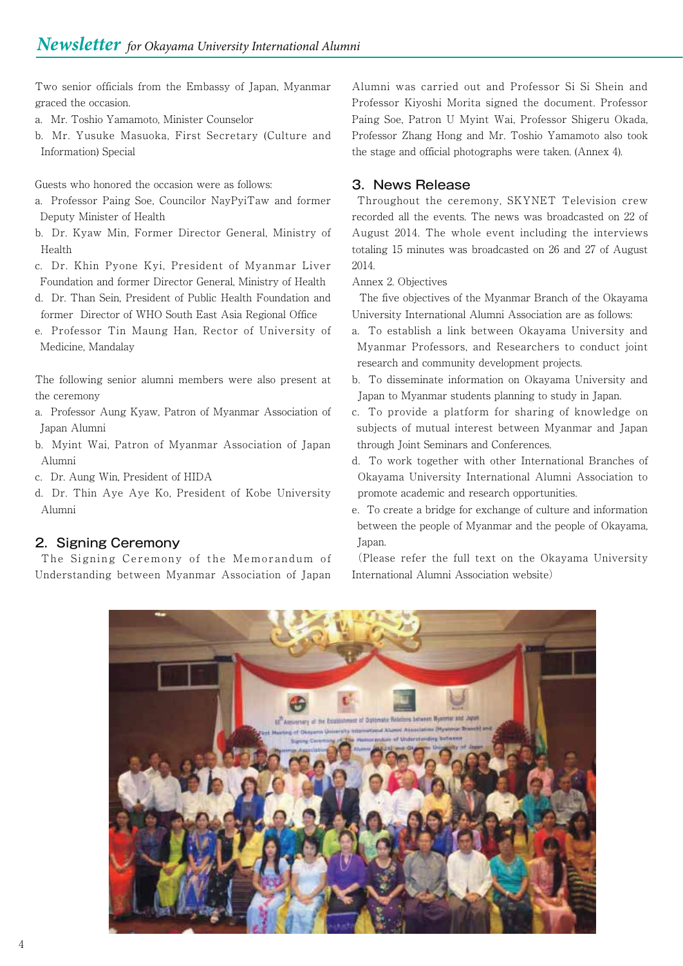Two senior officials from the Embassy of Japan, Myanmar graced the occasion.

- a.Mr. Toshio Yamamoto, Minister Counselor
- b.Mr. Yusuke Masuoka, First Secretary (Culture and Information) Special

Guests who honored the occasion were as follows:

- a.Professor Paing Soe, Councilor NayPyiTaw and former Deputy Minister of Health
- b.Dr. Kyaw Min, Former Director General, Ministry of Health
- c.Dr. Khin Pyone Kyi, President of Myanmar Liver Foundation and former Director General, Ministry of Health
- d.Dr. Than Sein, President of Public Health Foundation and former Director of WHO South East Asia Regional Office
- e.Professor Tin Maung Han, Rector of University of Medicine, Mandalay

The following senior alumni members were also present at the ceremony

- a.Professor Aung Kyaw, Patron of Myanmar Association of Japan Alumni
- b.Myint Wai, Patron of Myanmar Association of Japan Alumni
- c.Dr. Aung Win, President of HIDA
- d.Dr. Thin Aye Aye Ko, President of Kobe University Alumni

### 2. Signing Ceremony

 The Signing Ceremony of the Memorandum of Understanding between Myanmar Association of Japan

Alumni was carried out and Professor Si Si Shein and Professor Kiyoshi Morita signed the document. Professor Paing Soe, Patron U Myint Wai, Professor Shigeru Okada, Professor Zhang Hong and Mr. Toshio Yamamoto also took the stage and official photographs were taken. (Annex 4).

### 3.News Release

 Throughout the ceremony, SKYNET Television crew recorded all the events. The news was broadcasted on 22 of August 2014. The whole event including the interviews totaling 15 minutes was broadcasted on 26 and 27 of August 2014.

Annex 2. Objectives

 The five objectives of the Myanmar Branch of the Okayama University International Alumni Association are as follows:

- a.To establish a link between Okayama University and Myanmar Professors, and Researchers to conduct joint research and community development projects.
- b.To disseminate information on Okayama University and Japan to Myanmar students planning to study in Japan.
- c.To provide a platform for sharing of knowledge on subjects of mutual interest between Myanmar and Japan through Joint Seminars and Conferences.
- d.To work together with other International Branches of Okayama University International Alumni Association to promote academic and research opportunities.
- e.To create a bridge for exchange of culture and information between the people of Myanmar and the people of Okayama, Japan.

(Please refer the full text on the Okayama University International Alumni Association website)

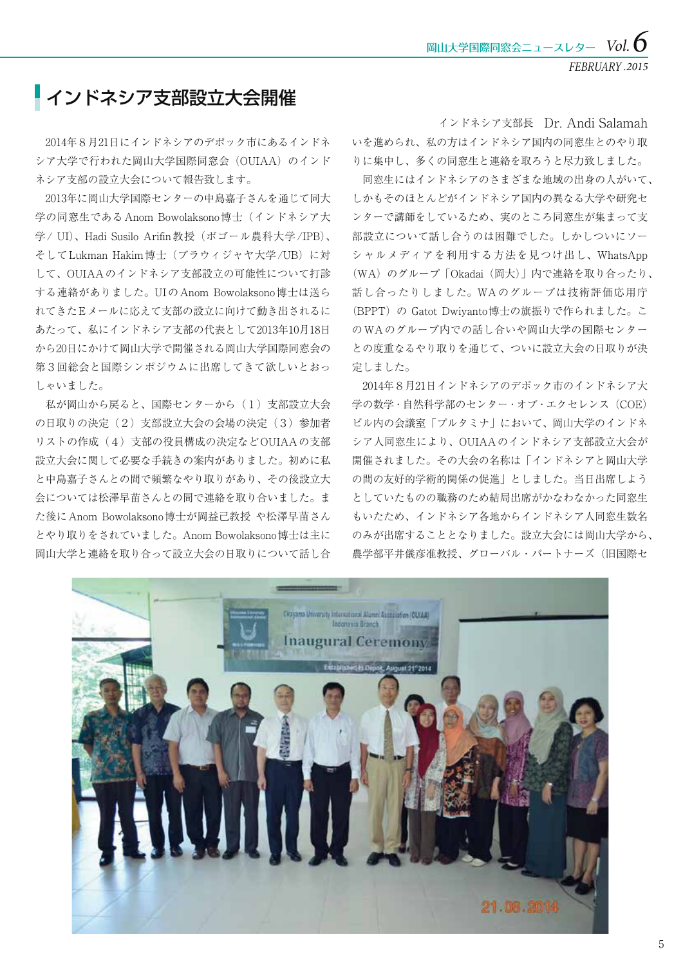FEBRUARY *.2015*

## インドネシア支部設立大会開催

 2014年8月21日にインドネシアのデポック市にあるインドネ シア大学で行われた岡山大学国際同窓会(OUIAA)のインド ネシア支部の設立大会について報告致します。

 2013年に岡山大学国際センターの中島嘉子さんを通じて同大 学の同窓生であるAnom Bowolaksono博士(インドネシア大 学/ UI)、Hadi Susilo Arifin教授(ボゴール農科大学/IPB)、 そしてLukman Hakim博士(ブラウィジャヤ大学/UB)に対 して、OUIAAのインドネシア支部設立の可能性について打診 する連絡がありました。UIのAnom Bowolaksono博士は送ら れてきたEメールに応えて支部の設立に向けて動き出されるに あたって、私にインドネシア支部の代表として2013年10月18日 から20日にかけて岡山大学で開催される岡山大学国際同窓会の 第3回総会と国際シンポジウムに出席してきて欲しいとおっ しゃいました。

 私が岡山から戻ると、国際センターから(1)支部設立大会 の日取りの決定(2)支部設立大会の会場の決定(3)参加者 リストの作成(4)支部の役員構成の決定などOUIAAの支部 設立大会に関して必要な手続きの案内がありました。初めに私 と中島嘉子さんとの間で頻繁なやり取りがあり、その後設立大 会については松澤早苗さんとの間で連絡を取り合いました。ま た後にAnom Bowolaksono博士が岡益己教授 や松澤早苗さん とやり取りをされていました。Anom Bowolaksono博士は主に 岡山大学と連絡を取り合って設立大会の日取りについて話し合

いを進められ、私の方はインドネシア国内の同窓生とのやり取 りに集中し、多くの同窓生と連絡を取ろうと尽力致しました。 インドネシア支部長 Dr. Andi Salamah

 同窓生にはインドネシアのさまざまな地域の出身の人がいて、 しかもそのほとんどがインドネシア国内の異なる大学や研究セ ンターで講師をしているため、実のところ同窓生が集まって支 部設立について話し合うのは困難でした。しかしついにソー シャルメディアを利用する方法を見つけ出し、WhatsApp (WA)のグループ「Okadai(岡大)」内で連絡を取り合ったり、 話し合ったりしました。WAのグループは技術評価応用庁 (BPPT)の Gatot Dwiyanto博士の旗振りで作られました。こ のWAのグループ内での話し合いや岡山大学の国際センター との度重なるやり取りを通じて、ついに設立大会の日取りが決 定しました。

 2014年8月21日インドネシアのデポック市のインドネシア大 学の数学・自然科学部のセンター・オブ・エクセレンス(COE) ビル内の会議室「プルタミナ」において、 岡山大学のインドネ シア人同窓生により、OUIAAのインドネシア支部設立大会が 開催されました。その大会の名称は「インドネシアと岡山大学 の間の友好的学術的関係の促進」としました。当日出席しよう としていたものの職務のため結局出席がかなわなかった同窓生 もいたため、インドネシア各地からインドネシア人同窓生数名 のみが出席することとなりました。設立大会には岡山大学から、 農学部平井儀彦准教授、グローバル・パートナーズ (旧国際セ

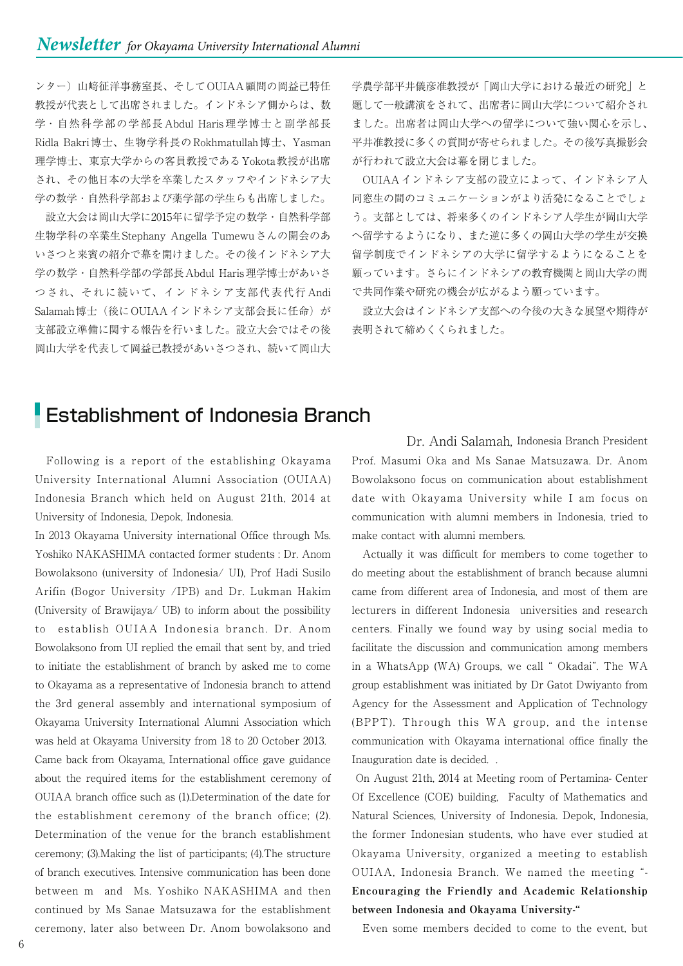ンター)山﨑征洋事務室長、そしてOUIAA顧問の岡益己特任 教授が代表として出席されました。インドネシア側からは、数 学・自然科学部の学部長 Abdul Haris 理学博士と副学部長 Ridla Bakri博士、生物学科長のRokhmatullah博士、Yasman 理学博士、東京大学からの客員教授であるYokota教授が出席 され、その他日本の大学を卒業したスタッフやインドネシア大 学の数学・自然科学部および薬学部の学生らも出席しました。

 設立大会は岡山大学に2015年に留学予定の数学・自然科学部 生物学科の卒業生Stephany Angella Tumewuさんの開会のあ いさつと来賓の紹介で幕を開けました。その後インドネシア大 学の数学・自然科学部の学部長Abdul Haris理学博士があいさ つされ、それに続いて、インドネシア支部代表代行 Andi Salamah博士(後にOUIAAインドネシア支部会長に任命)が 支部設立準備に関する報告を行いました。設立大会ではその後 岡山大学を代表して岡益己教授があいさつされ、続いて岡山大

学農学部平井儀彦准教授が「岡山大学における最近の研究」と 題して一般講演をされて、出席者に岡山大学について紹介され ました。出席者は岡山大学への留学について強い関心を示し、 平井准教授に多くの質問が寄せられました。その後写真撮影会 が行われて設立大会は幕を閉じました。

 OUIAAインドネシア支部の設立によって、インドネシア人 同窓生の間のコミュニケーションがより活発になることでしょ う。支部としては、将来多くのインドネシア人学生が岡山大学 へ留学するようになり、また逆に多くの岡山大学の学生が交換 留学制度でインドネシアの大学に留学するようになることを 願っています。さらにインドネシアの教育機関と岡山大学の間 で共同作業や研究の機会が広がるよう願っています。

 設立大会はインドネシア支部への今後の大きな展望や期待が 表明されて締めくくられました。

## **Establishment of Indonesia Branch**

 Following is a report of the establishing Okayama University International Alumni Association (OUIAA) Indonesia Branch which held on August 21th, 2014 at University of Indonesia, Depok, Indonesia.

In 2013 Okayama University international Office through Ms. Yoshiko NAKASHIMA contacted former students : Dr. Anom Bowolaksono (university of Indonesia/ UI), Prof Hadi Susilo Arifin (Bogor University /IPB) and Dr. Lukman Hakim (University of Brawijaya/ UB) to inform about the possibility to establish OUIAA Indonesia branch. Dr. Anom Bowolaksono from UI replied the email that sent by, and tried to initiate the establishment of branch by asked me to come to Okayama as a representative of Indonesia branch to attend the 3rd general assembly and international symposium of Okayama University International Alumni Association which was held at Okayama University from 18 to 20 October 2013. Came back from Okayama, International office gave guidance about the required items for the establishment ceremony of OUIAA branch office such as (1).Determination of the date for the establishment ceremony of the branch office; (2). Determination of the venue for the branch establishment ceremony; (3).Making the list of participants; (4).The structure of branch executives. Intensive communication has been done between m and Ms. Yoshiko NAKASHIMA and then continued by Ms Sanae Matsuzawa for the establishment ceremony, later also between Dr. Anom bowolaksono and

Prof. Masumi Oka and Ms Sanae Matsuzawa. Dr. Anom Bowolaksono focus on communication about establishment date with Okayama University while I am focus on communication with alumni members in Indonesia, tried to make contact with alumni members. Dr. Andi Salamah, Indonesia Branch President

 Actually it was difficult for members to come together to do meeting about the establishment of branch because alumni came from different area of Indonesia, and most of them are lecturers in different Indonesia universities and research centers. Finally we found way by using social media to facilitate the discussion and communication among members in a WhatsApp (WA) Groups, we call " Okadai". The WA group establishment was initiated by Dr Gatot Dwiyanto from Agency for the Assessment and Application of Technology (BPPT). Through this WA group, and the intense communication with Okayama international office finally the Inauguration date is decided. .

 On August 21th, 2014 at Meeting room of Pertamina- Center Of Excellence (COE) building, Faculty of Mathematics and Natural Sciences, University of Indonesia. Depok, Indonesia, the former Indonesian students, who have ever studied at Okayama University, organized a meeting to establish OUIAA, Indonesia Branch. We named the meeting "- **Encouraging the Friendly and Academic Relationship between Indonesia and Okayama University-"**

Even some members decided to come to the event, but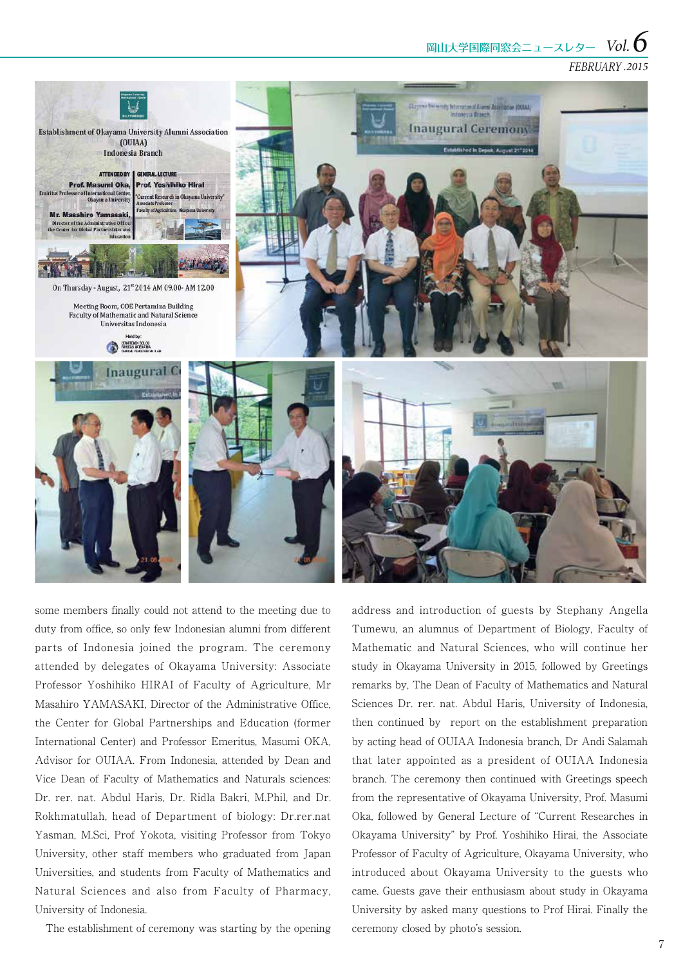**岡山大学国際同窓会ニュースレター Vol. 6** 

### FEBRUARY *.2015*



some members finally could not attend to the meeting due to duty from office, so only few Indonesian alumni from different parts of Indonesia joined the program. The ceremony attended by delegates of Okayama University: Associate Professor Yoshihiko HIRAI of Faculty of Agriculture, Mr Masahiro YAMASAKI, Director of the Administrative Office, the Center for Global Partnerships and Education (former International Center) and Professor Emeritus, Masumi OKA, Advisor for OUIAA. From Indonesia, attended by Dean and Vice Dean of Faculty of Mathematics and Naturals sciences: Dr. rer. nat. Abdul Haris, Dr. Ridla Bakri, M.Phil, and Dr. Rokhmatullah, head of Department of biology: Dr.rer.nat Yasman, M.Sci, Prof Yokota, visiting Professor from Tokyo University, other staff members who graduated from Japan Universities, and students from Faculty of Mathematics and Natural Sciences and also from Faculty of Pharmacy, University of Indonesia.

The establishment of ceremony was starting by the opening

address and introduction of guests by Stephany Angella Tumewu, an alumnus of Department of Biology, Faculty of Mathematic and Natural Sciences, who will continue her study in Okayama University in 2015, followed by Greetings remarks by, The Dean of Faculty of Mathematics and Natural Sciences Dr. rer. nat. Abdul Haris, University of Indonesia, then continued by report on the establishment preparation by acting head of OUIAA Indonesia branch, Dr Andi Salamah that later appointed as a president of OUIAA Indonesia branch. The ceremony then continued with Greetings speech from the representative of Okayama University, Prof. Masumi Oka, followed by General Lecture of "Current Researches in Okayama University" by Prof. Yoshihiko Hirai, the Associate Professor of Faculty of Agriculture, Okayama University, who introduced about Okayama University to the guests who came. Guests gave their enthusiasm about study in Okayama University by asked many questions to Prof Hirai. Finally the ceremony closed by photo's session.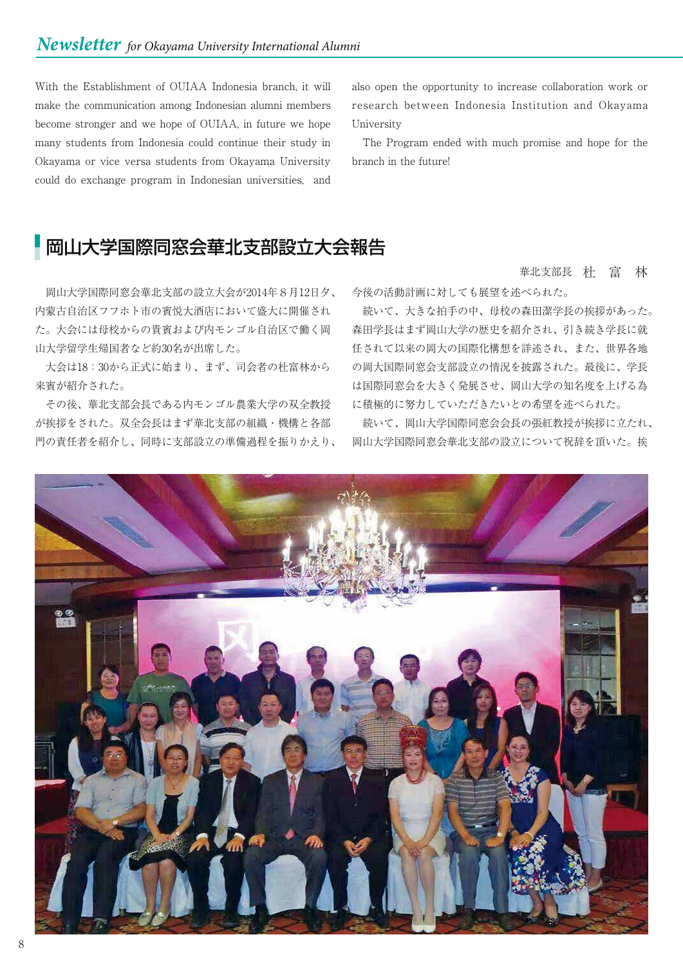With the Establishment of OUIAA Indonesia branch, it will make the communication among Indonesian alumni members become stronger and we hope of OUIAA, in future we hope many students from Indonesia could continue their study in Okayama or vice versa students from Okayama University could do exchange program in Indonesian universities, and

also open the opportunity to increase collaboration work or research between Indonesia Institution and Okayama University

 The Program ended with much promise and hope for the branch in the future!

## 岡山大学国際同窓会華北支部設立大会報告

 岡山大学国際同窓会華北支部の設立大会が2014年8月12日夕、 内蒙古自治区フフホト市の賓悦大酒店において盛大に開催され た。大会には母校からの貴賓および内モンゴル自治区で働く岡 山大学留学生帰国者など約30名が出席した。

 大会は18:30から正式に始まり、まず、司会者の杜富林から 来賓が紹介された。

 その後、華北支部会長である内モンゴル農業大学の双全教授 が挨拶をされた。双全会長はまず華北支部の組織・機構と各部 門の責任者を紹介し、同時に支部設立の準備過程を振りかえり、 華北支部長 杜 富 林

今後の活動計画に対しても展望を述べられた。

 続いて、大きな拍手の中、母校の森田潔学長の挨拶があった。 森田学長はまず岡山大学の歴史を紹介され、引き続き学長に就 任されて以来の岡大の国際化構想を詳述され、また、世界各地 の岡大国際同窓会支部設立の情況を披露された。最後に、学長 は国際同窓会を大きく発展させ、岡山大学の知名度を上げる為 に積極的に努力していただきたいとの希望を述べられた。

 続いて、岡山大学国際同窓会会長の張紅教授が挨拶に立たれ、 岡山大学国際同窓会華北支部の設立について祝辞を頂いた。挨

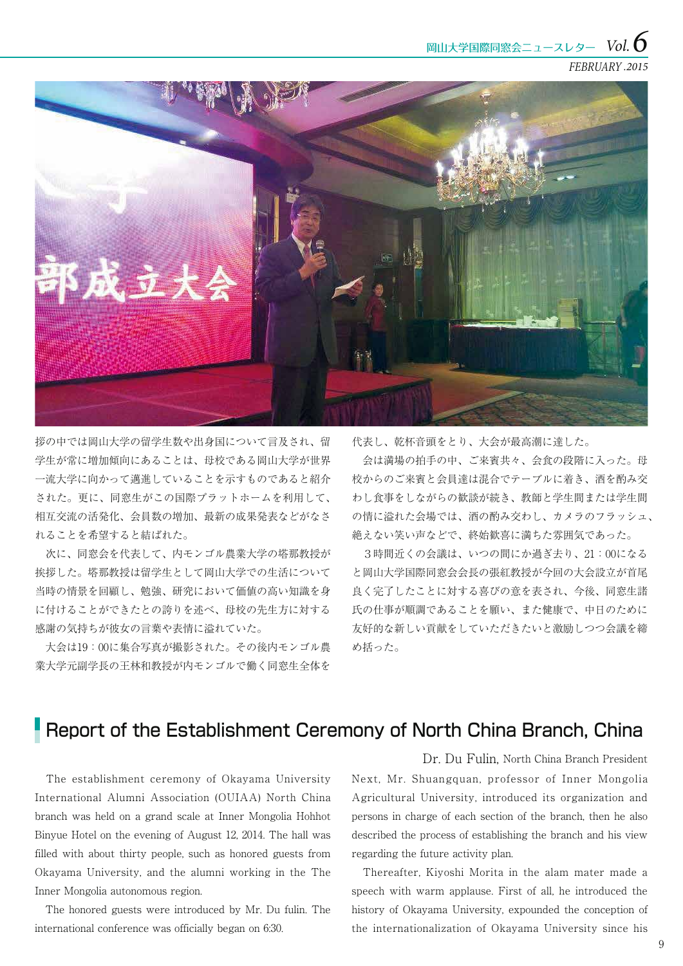FEBRUARY *.2015*



拶の中では岡山大学の留学生数や出身国について言及され、留 学生が常に増加傾向にあることは、母校である岡山大学が世界 一流大学に向かって邁進していることを示すものであると紹介 された。更に、同窓生がこの国際プラットホームを利用して、 相互交流の活発化、会員数の増加、最新の成果発表などがなさ れることを希望すると結ばれた。

 次に、同窓会を代表して、内モンゴル農業大学の塔那教授が 挨拶した。塔那教授は留学生として岡山大学での生活について 当時の情景を回顧し、勉強、研究において価値の高い知識を身 に付けることができたとの誇りを述べ、母校の先生方に対する 感謝の気持ちが彼女の言葉や表情に溢れていた。

 大会は19:00に集合写真が撮影された。その後内モンゴル農 業大学元副学長の王林和教授が内モンゴルで働く同窓生全体を

代表し、乾杯音頭をとり、大会が最高潮に達した。

 会は満場の拍手の中、ご来賓共々、会食の段階に入った。母 校からのご来賓と会員達は混合でテーブルに着き、酒を酌み交 わし食事をしながらの歓談が続き、教師と学生間または学生間 の情に溢れた会場では、酒の酌み交わし、カメラのフラッシュ、 絶えない笑い声などで、終始歓喜に満ちた雰囲気であった。

 3時間近くの会議は、いつの間にか過ぎ去り、21:00になる と岡山大学国際同窓会会長の張紅教授が今回の大会設立が首尾 良く完了したことに対する喜びの意を表され、今後、同窓生諸 氏の仕事が順調であることを願い、また健康で、中日のために 友好的な新しい貢献をしていただきたいと激励しつつ会議を締 め括った。

## Report of the Establishment Ceremony of North China Branch, China

 The establishment ceremony of Okayama University International Alumni Association (OUIAA) North China branch was held on a grand scale at Inner Mongolia Hohhot Binyue Hotel on the evening of August 12, 2014. The hall was filled with about thirty people, such as honored guests from Okayama University, and the alumni working in the The Inner Mongolia autonomous region.

 The honored guests were introduced by Mr. Du fulin. The international conference was officially began on 6:30.

Next, Mr. Shuangquan, professor of Inner Mongolia Agricultural University, introduced its organization and persons in charge of each section of the branch, then he also described the process of establishing the branch and his view regarding the future activity plan. Dr. Du Fulin, North China Branch President

 Thereafter, Kiyoshi Morita in the alam mater made a speech with warm applause. First of all, he introduced the history of Okayama University, expounded the conception of the internationalization of Okayama University since his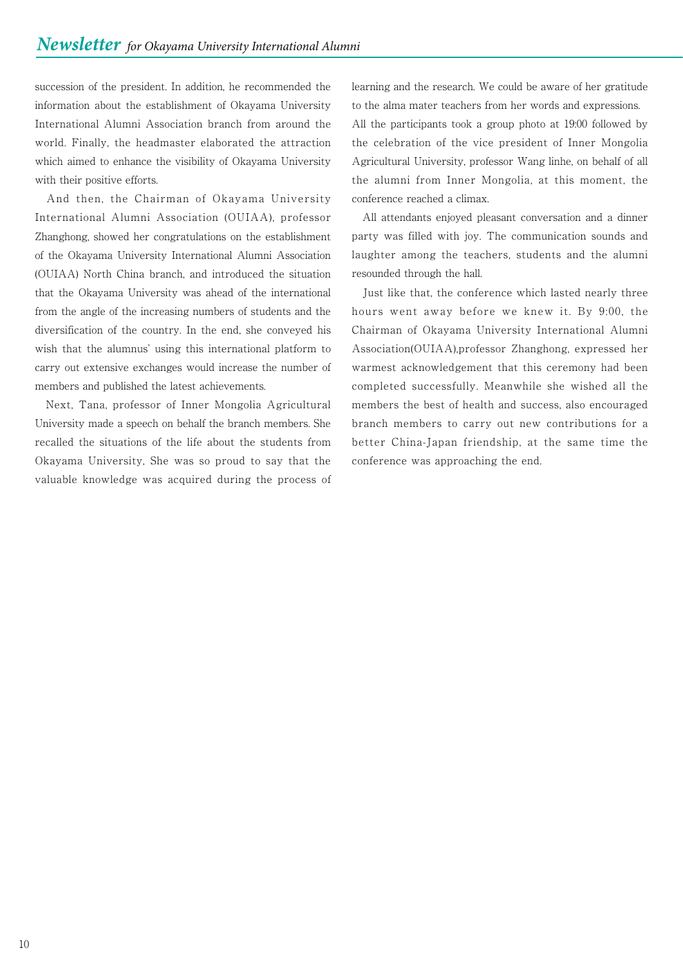succession of the president. In addition, he recommended the information about the establishment of Okayama University International Alumni Association branch from around the world. Finally, the headmaster elaborated the attraction which aimed to enhance the visibility of Okayama University with their positive efforts.

 And then, the Chairman of Okayama University International Alumni Association (OUIAA), professor Zhanghong, showed her congratulations on the establishment of the Okayama University International Alumni Association (OUIAA) North China branch, and introduced the situation that the Okayama University was ahead of the international from the angle of the increasing numbers of students and the diversification of the country. In the end, she conveyed his wish that the alumnus' using this international platform to carry out extensive exchanges would increase the number of members and published the latest achievements.

 Next, Tana, professor of Inner Mongolia Agricultural University made a speech on behalf the branch members. She recalled the situations of the life about the students from Okayama University, She was so proud to say that the valuable knowledge was acquired during the process of

learning and the research. We could be aware of her gratitude to the alma mater teachers from her words and expressions. All the participants took a group photo at 19:00 followed by the celebration of the vice president of Inner Mongolia Agricultural University, professor Wang linhe, on behalf of all the alumni from Inner Mongolia, at this moment, the conference reached a climax.

 All attendants enjoyed pleasant conversation and a dinner party was filled with joy. The communication sounds and laughter among the teachers, students and the alumni resounded through the hall.

 Just like that, the conference which lasted nearly three hours went away before we knew it. By 9:00, the Chairman of Okayama University International Alumni Association(OUIAA),professor Zhanghong, expressed her warmest acknowledgement that this ceremony had been completed successfully. Meanwhile she wished all the members the best of health and success, also encouraged branch members to carry out new contributions for a better China-Japan friendship, at the same time the conference was approaching the end.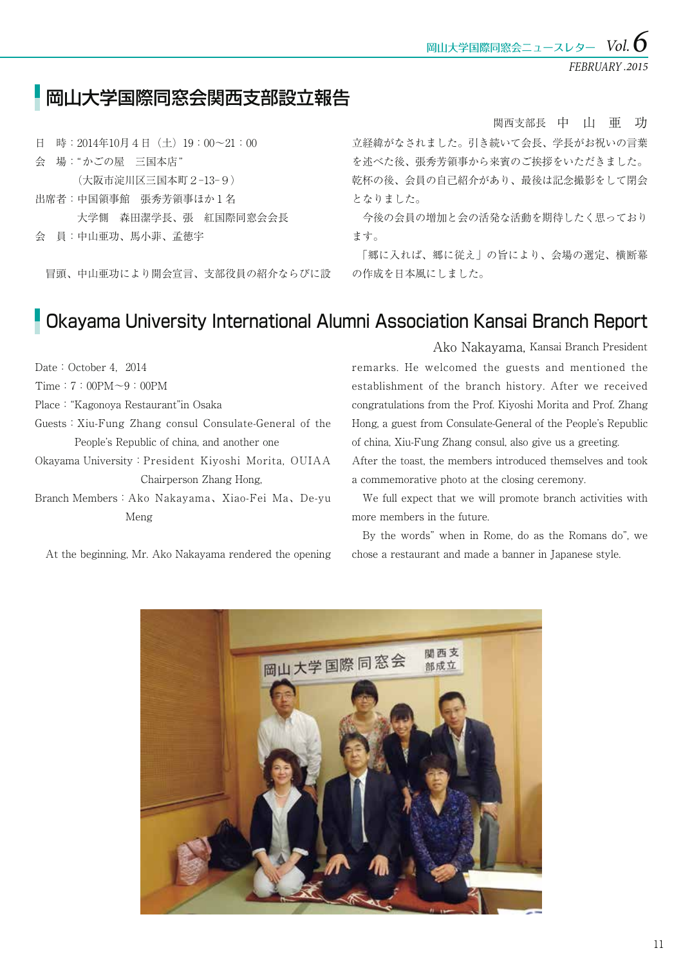FEBRUARY *.2015*

## 岡山大学国際同窓会関西支部設立報告

日 時:2014年10月4日(土)19:00~21:00 会 場:"かごの屋 三国本店" (大阪市淀川区三国本町2-13-9) 出席者:中国領事館 張秀芳領事ほか1名 大学側 森田潔学長、張 紅国際同窓会会長 会 員:中山亜功、馬小菲、孟徳宇

冒頭、中山亜功により開会宣言、支部役員の紹介ならびに設

関西支部長 中 山 亜 功

立経緯がなされました。引き続いて会長、学長がお祝いの言葉 を述べた後、張秀芳領事から来賓のご挨拶をいただきました。 乾杯の後、会員の自己紹介があり、最後は記念撮影をして閉会 となりました。

 今後の会員の増加と会の活発な活動を期待したく思っており ます。

 「郷に入れば、郷に従え」の旨により、会場の選定、横断幕 の作成を日本風にしました。

## Okayama University International Alumni Association Kansai Branch Report

Date: October 4, 2014

Time:7:00PM~9:00PM

Place:"Kagonoya Restaurant"in Osaka

Guests:Xiu-Fung Zhang consul Consulate-General of the People's Republic of china, and another one

Okayama University:President Kiyoshi Morita, OUIAA Chairperson Zhang Hong,

Branch Members:Ako Nakayama、Xiao-Fei Ma、De-yu Meng

At the beginning, Mr. Ako Nakayama rendered the opening

remarks. He welcomed the guests and mentioned the establishment of the branch history. After we received congratulations from the Prof. Kiyoshi Morita and Prof. Zhang Ako Nakayama, Kansai Branch President

Hong, a guest from Consulate-General of the People's Republic of china, Xiu-Fung Zhang consul, also give us a greeting.

After the toast, the members introduced themselves and took a commemorative photo at the closing ceremony.

 We full expect that we will promote branch activities with more members in the future.

 By the words" when in Rome, do as the Romans do", we chose a restaurant and made a banner in Japanese style.